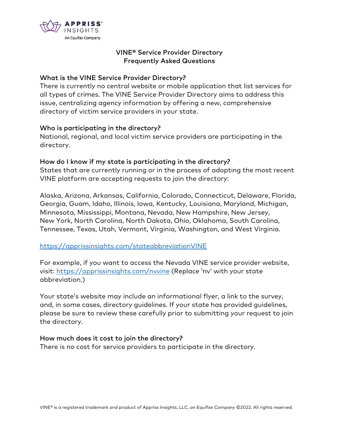

# VINE® Service Provider Directory Frequently Asked Questions

### What is the VINE Service Provider Directory?

There is currently no central website or mobile application that list services for all types of crimes. The VINE Service Provider Directory aims to address this issue, centralizing agency information by offering a new, comprehensive directory of victim service providers in your state.

### Who is participating in the directory?

National, regional, and local victim service providers are participating in the directory.

# How do I know if my state is participating in the directory?

States that are currently running or in the process of adopting the most recent VINE platform are accepting requests to join the directory:

Alaska, Arizona, Arkansas, California, Colorado, Connecticut, Delaware, Florida, Georgia, Guam, Idaho, Illinois, Iowa, Kentucky, Louisiana, Maryland, Michigan, Minnesota, Mississippi, Montana, Nevada, New Hampshire, New Jersey, New York, North Carolina, North Dakota, Ohio, Oklahoma, South Carolina, Tennessee, Texas, Utah, Vermont, Virginia, Washington, and West Virginia.

# https://apprissinsights.com/stateabbreviationVINE

For example, if you want to access the Nevada VINE service provider website, visit: https://apprissinsights.com/nvvine (Replace 'nv' with your state abbreviation.)

Your state's website may include an informational flyer, a link to the survey, and, in some cases, directory guidelines. If your state has provided guidelines, please be sure to review these carefully prior to submitting your request to join the directory.

### How much does it cost to join the directory?

There is no cost for service providers to participate in the directory.